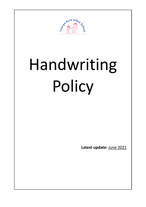

# Handwriting Policy

**Latest update:** June 2021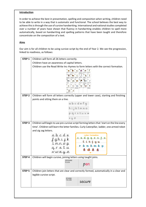## **Introduction**

In order to achieve the best in presentation, spelling and composition when writing, children need to be able to write in a way that is automatic and functional. The school believes the best way to achieve this is through the use of cursive handwriting. International and national studies completed over a number of years have shown that fluency in handwriting enables children to spell more automatically, based on handwriting and spelling patterns that have been taught and therefore concentrate on the composition of a text.

# **Aims**

Our aim is for all children to be using cursive script by the end of Year 2. We see the progression, linked to readiness, as follows:

| STEP <sub>1</sub> | Children will form all 26 letters correctly.                                                |  |  |  |  |
|-------------------|---------------------------------------------------------------------------------------------|--|--|--|--|
|                   | Children have an awareness of capital letters.                                              |  |  |  |  |
|                   | Children use the Read Write Inc rhymes to form letters with the correct formation.          |  |  |  |  |
|                   |                                                                                             |  |  |  |  |
|                   |                                                                                             |  |  |  |  |
|                   |                                                                                             |  |  |  |  |
|                   |                                                                                             |  |  |  |  |
|                   |                                                                                             |  |  |  |  |
|                   |                                                                                             |  |  |  |  |
| STEP <sub>2</sub> |                                                                                             |  |  |  |  |
|                   | Children will form all letters correctly (upper and lower case), starting and finishing     |  |  |  |  |
|                   | points and sitting them on a line.                                                          |  |  |  |  |
|                   | abcdefq                                                                                     |  |  |  |  |
|                   | mno                                                                                         |  |  |  |  |
|                   | pgrstuvw                                                                                    |  |  |  |  |
|                   | xy                                                                                          |  |  |  |  |
|                   |                                                                                             |  |  |  |  |
| STEP <sub>3</sub> | Children will begin to use pre-cursive script forming letters that 'start on the line every |  |  |  |  |
|                   | time'. Children will learn the letter families. Curly Caterpillar, ladder, one armed robot  |  |  |  |  |
|                   | and zig zag letters.                                                                        |  |  |  |  |
|                   | <b>Letter Formation</b><br><u>e</u>                                                         |  |  |  |  |
|                   | tt i u w                                                                                    |  |  |  |  |
|                   | <b>b</b> m h m k p                                                                          |  |  |  |  |
|                   |                                                                                             |  |  |  |  |
|                   |                                                                                             |  |  |  |  |
| STEP 4            | Children will begin cursive, joining letters using taught joins.                            |  |  |  |  |
|                   | <b>BEGINNING</b><br>TO JOIN                                                                 |  |  |  |  |
|                   | е                                                                                           |  |  |  |  |
|                   |                                                                                             |  |  |  |  |
| STEP <sub>5</sub> | Children join letters that are clear and correctly formed, automatically in a clear and     |  |  |  |  |
|                   | legible cursive script.<br>SECURING                                                         |  |  |  |  |
|                   | THE JOINS<br>secure                                                                         |  |  |  |  |
|                   |                                                                                             |  |  |  |  |
|                   |                                                                                             |  |  |  |  |
|                   |                                                                                             |  |  |  |  |
|                   |                                                                                             |  |  |  |  |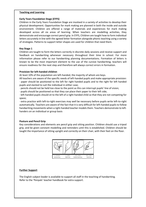## **Teaching and Learning**

#### **Early Years Foundation Stage (EYFS)**

Children in the Early Years Foundation Stage are involved in a variety of activities to develop their physical development. Opportunities for mark making are planned in both the inside and outside environment. Children are offered a range of materials and experiences for mark making developed across all six areas of learning. When teachers are modelling activities, they demonstrate and encourage correct pencil grip. In EYFS, Children are taught how to form individual letters accurately in line with the agreed letter formation alongside phonic teaching using a variety of strategies. Patterns to support letter shapes are used for children that need them.

## **Key Stage 1**

Children are taught to form the letters correctly in discrete daily sessions and receive support and feedback on handwriting whenever necessary throughout their time in school. For more information please refer to our handwriting planning documentations. Formation of letters is known to be the most important element to the use of the cursive handwriting; teachers will ensure readiness for the next step and therefore will always correct errors in formation.

## **Provision for left-handed children**

At least 10% of the population are left-handed, the majority of whom are boys.

All teachers are aware of the specific needs of left-handed pupils and make appropriate provision: · paper should be positioned to the left for right handed pupils and to the right for left handed pupils and slanted to suit the individual in either case;

· pencils should not be held too close to the point as this can interrupt pupils' line of vision;

· pupils should be positioned so that they can place their paper to their left side;

· left-handed pupils should sit to the left of a right-handed child so that they are not competing for space;

· extra practice with left-to-right exercises may well be necessary before pupils write left-to-right automatically. Teachers are aware of the fact that it is very difficult for left-handed pupils to follow handwriting movements when a right-handed teacher models them. Teachers demonstrate to lefthanders on an individual or group basis

# **Posture and Pencil Grip**

Key considerations and elements are pencil grip and sitting position. Children should use a tripod grip, and be given constant modelling and reminders until this is established. Children should be taught the importance of sitting upright and correctly on their chair, with their feet on the floor.



# **Further Support**

The English subject leader is available to support all staff in the teaching of handwriting. Refer to the 'Penpals' teacher handbook for extra support.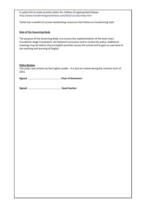A useful link to make practise sheets for children (if appropriate) follows: <http://www.handwritingworksheets.com/flash/cursive/index.htm>

Twinkl has a wealth of cursive handwriting resources that follow our handwriting style.

## **Role of the Governing Body**

The purpose of the Governing Body is to ensure the implementation of the Early Years Foundation Stage Framework, the National Curriculum and to review the policy. Additional meetings may be held to discuss English priorities across the school and to gain an overview of the teaching and learning of English.

#### **Policy Review**

This policy was written by the English Leader. It is due for review during the summer term of 2021.

**Signed** …………………………………………….. **Chair of Governors**

|--|--|--|--|